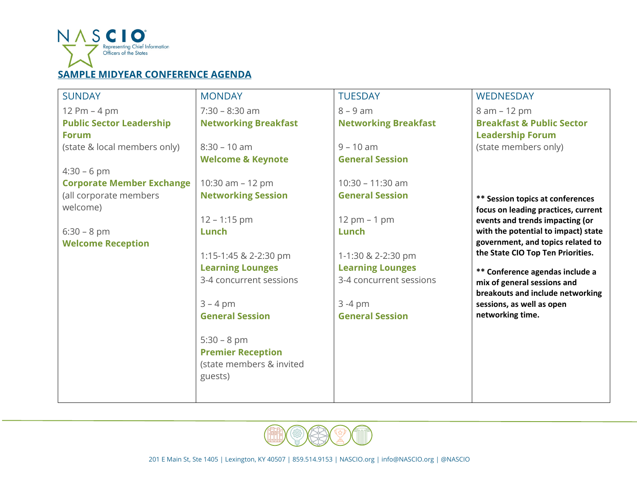

## **SAMPLE MIDYEAR CONFERENCE AGENDA**

| <b>SUNDAY</b>                    | <b>MONDAY</b>                | <b>TUESDAY</b>                     | <b>WEDNESDAY</b>                                                       |
|----------------------------------|------------------------------|------------------------------------|------------------------------------------------------------------------|
| 12 Pm $-$ 4 pm                   | $7:30 - 8:30$ am             | $8 - 9$ am                         | 8 am - 12 pm                                                           |
| <b>Public Sector Leadership</b>  | <b>Networking Breakfast</b>  | <b>Networking Breakfast</b>        | <b>Breakfast &amp; Public Sector</b>                                   |
| <b>Forum</b>                     |                              |                                    | <b>Leadership Forum</b>                                                |
| (state & local members only)     | $8:30 - 10$ am               | $9 - 10$ am                        | (state members only)                                                   |
|                                  | <b>Welcome &amp; Keynote</b> | <b>General Session</b>             |                                                                        |
| $4:30 - 6$ pm                    |                              |                                    |                                                                        |
| <b>Corporate Member Exchange</b> | 10:30 am - 12 pm             | 10:30 - 11:30 am                   |                                                                        |
| (all corporate members           | <b>Networking Session</b>    | <b>General Session</b>             | <b>** Session topics at conferences</b>                                |
| welcome)                         |                              |                                    | focus on leading practices, current                                    |
|                                  | $12 - 1:15$ pm               | $12 \, \text{pm} - 1 \, \text{pm}$ | events and trends impacting (or                                        |
| $6:30 - 8$ pm                    | Lunch                        | Lunch                              | with the potential to impact) state                                    |
| <b>Welcome Reception</b>         |                              |                                    | government, and topics related to<br>the State CIO Top Ten Priorities. |
|                                  | 1:15-1:45 & 2-2:30 pm        | 1-1:30 & 2-2:30 pm                 |                                                                        |
|                                  | <b>Learning Lounges</b>      | <b>Learning Lounges</b>            | ** Conference agendas include a                                        |
|                                  | 3-4 concurrent sessions      | 3-4 concurrent sessions            | mix of general sessions and                                            |
|                                  |                              |                                    | breakouts and include networking                                       |
|                                  | $3 - 4$ pm                   | $3 - 4 pm$                         | sessions, as well as open                                              |
|                                  | <b>General Session</b>       | <b>General Session</b>             | networking time.                                                       |
|                                  |                              |                                    |                                                                        |
|                                  | $5:30 - 8$ pm                |                                    |                                                                        |
|                                  | <b>Premier Reception</b>     |                                    |                                                                        |
|                                  | (state members & invited     |                                    |                                                                        |
|                                  | guests)                      |                                    |                                                                        |
|                                  |                              |                                    |                                                                        |